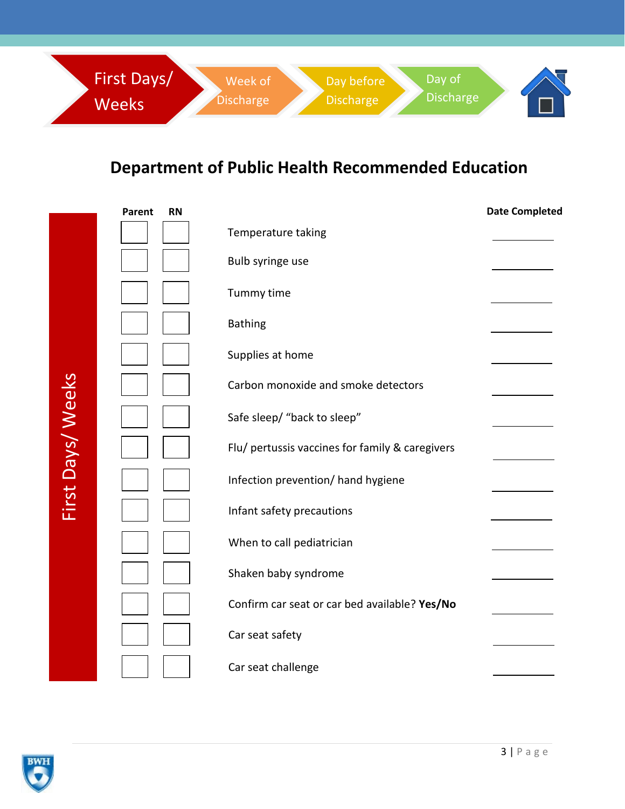

## **Department of Public Health Recommended Education**

|                   | Parent | <b>RN</b> |                                                 | <b>Date Completed</b> |
|-------------------|--------|-----------|-------------------------------------------------|-----------------------|
|                   |        |           | Temperature taking                              |                       |
|                   |        |           | Bulb syringe use                                |                       |
|                   |        |           | Tummy time                                      |                       |
|                   |        |           | <b>Bathing</b>                                  |                       |
|                   |        |           | Supplies at home                                |                       |
|                   |        |           | Carbon monoxide and smoke detectors             |                       |
| First Days/ Weeks |        |           | Safe sleep/ "back to sleep"                     |                       |
|                   |        |           | Flu/ pertussis vaccines for family & caregivers |                       |
|                   |        |           | Infection prevention/ hand hygiene              |                       |
|                   |        |           | Infant safety precautions                       |                       |
|                   |        |           | When to call pediatrician                       |                       |
|                   |        |           | Shaken baby syndrome                            |                       |
|                   |        |           | Confirm car seat or car bed available? Yes/No   |                       |
|                   |        |           | Car seat safety                                 |                       |
|                   |        |           | Car seat challenge                              |                       |

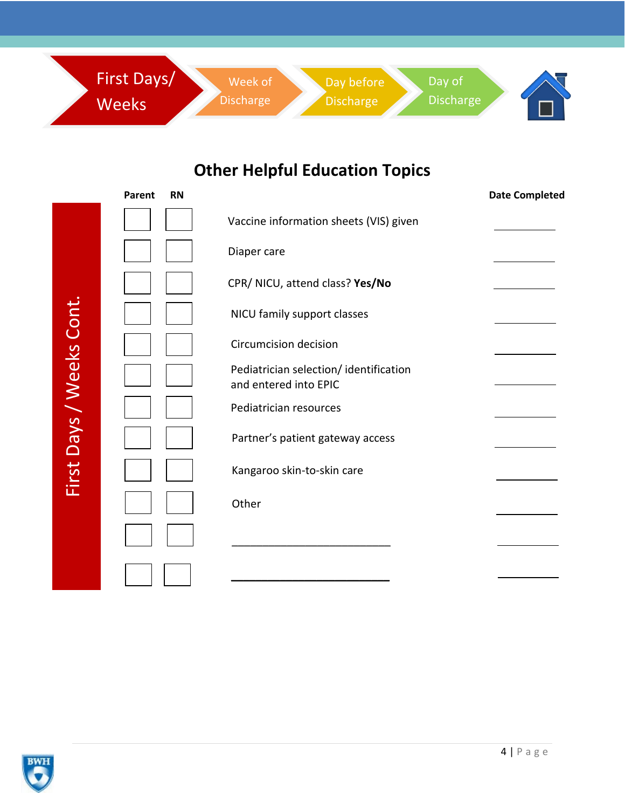

## **Other Helpful Education Topics**

|                          | Parent<br><b>RN</b> |                                                                | <b>Date Completed</b> |
|--------------------------|---------------------|----------------------------------------------------------------|-----------------------|
| First Days / Weeks Cont. |                     | Vaccine information sheets (VIS) given                         |                       |
|                          |                     | Diaper care                                                    |                       |
|                          |                     | CPR/ NICU, attend class? Yes/No                                |                       |
|                          |                     | NICU family support classes                                    |                       |
|                          |                     | <b>Circumcision decision</b>                                   |                       |
|                          |                     | Pediatrician selection/identification<br>and entered into EPIC |                       |
|                          |                     | Pediatrician resources                                         |                       |
|                          |                     | Partner's patient gateway access                               |                       |
|                          |                     | Kangaroo skin-to-skin care                                     |                       |
|                          |                     | Other                                                          |                       |
|                          |                     |                                                                |                       |
|                          |                     |                                                                |                       |

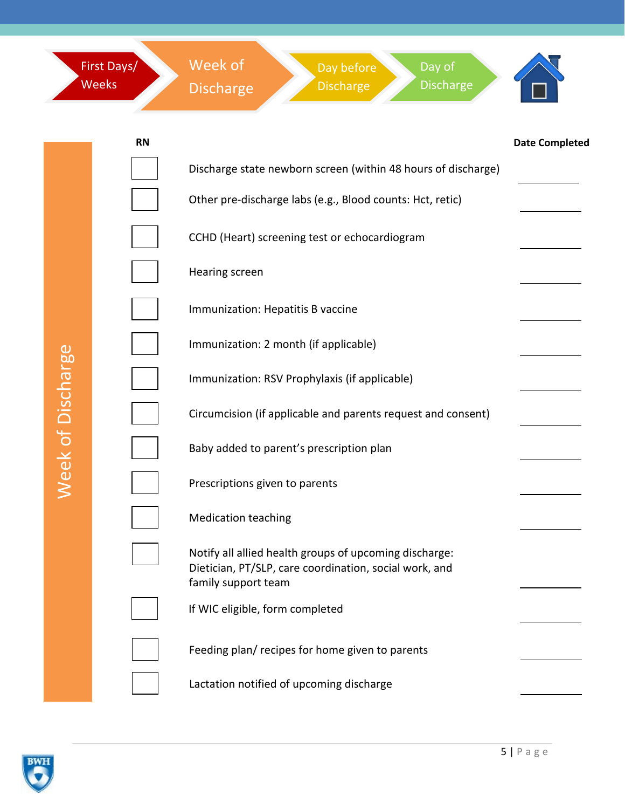|                          | First Days/<br><b>Weeks</b> | Week of<br>Day of<br>Day before<br><b>Discharge</b><br><b>Discharge</b><br><b>Discharge</b>                                             |                       |
|--------------------------|-----------------------------|-----------------------------------------------------------------------------------------------------------------------------------------|-----------------------|
|                          | <b>RN</b>                   |                                                                                                                                         | <b>Date Completed</b> |
|                          |                             | Discharge state newborn screen (within 48 hours of discharge)                                                                           |                       |
|                          |                             | Other pre-discharge labs (e.g., Blood counts: Hct, retic)                                                                               |                       |
|                          |                             | CCHD (Heart) screening test or echocardiogram                                                                                           |                       |
|                          |                             | Hearing screen                                                                                                                          |                       |
|                          |                             | Immunization: Hepatitis B vaccine                                                                                                       |                       |
|                          |                             | Immunization: 2 month (if applicable)                                                                                                   |                       |
|                          |                             | Immunization: RSV Prophylaxis (if applicable)                                                                                           |                       |
| <b>Week of Discharge</b> |                             | Circumcision (if applicable and parents request and consent)                                                                            |                       |
|                          |                             | Baby added to parent's prescription plan                                                                                                |                       |
|                          |                             | Prescriptions given to parents                                                                                                          |                       |
|                          |                             | <b>Medication teaching</b>                                                                                                              |                       |
|                          |                             | Notify all allied health groups of upcoming discharge:<br>Dietician, PT/SLP, care coordination, social work, and<br>family support team |                       |
|                          |                             | If WIC eligible, form completed                                                                                                         |                       |
|                          |                             | Feeding plan/ recipes for home given to parents                                                                                         |                       |
|                          |                             | Lactation notified of upcoming discharge                                                                                                |                       |

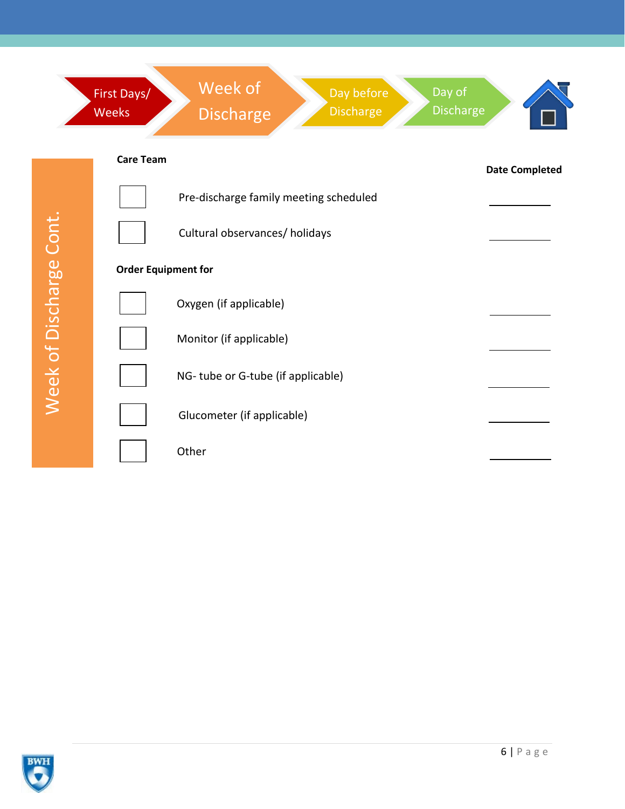

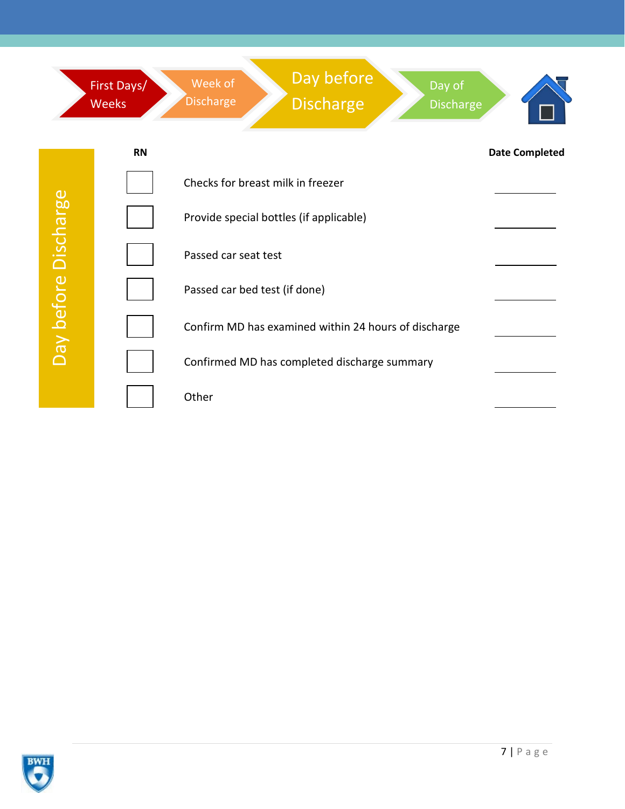

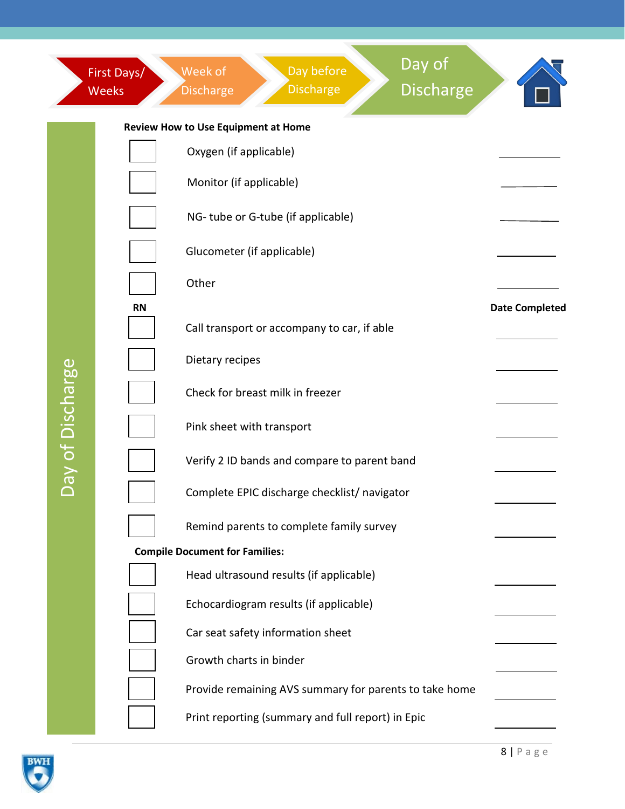|                  | First Days/<br><b>Weeks</b>           | Day of<br>Day before<br>Week of<br><b>Discharge</b><br><b>Discharge</b><br><b>Discharge</b> |                       |  |  |  |  |
|------------------|---------------------------------------|---------------------------------------------------------------------------------------------|-----------------------|--|--|--|--|
|                  | Review How to Use Equipment at Home   |                                                                                             |                       |  |  |  |  |
|                  |                                       | Oxygen (if applicable)                                                                      |                       |  |  |  |  |
|                  |                                       | Monitor (if applicable)                                                                     |                       |  |  |  |  |
|                  |                                       | NG-tube or G-tube (if applicable)                                                           |                       |  |  |  |  |
|                  |                                       | Glucometer (if applicable)                                                                  |                       |  |  |  |  |
|                  |                                       | Other                                                                                       |                       |  |  |  |  |
|                  | <b>RN</b>                             |                                                                                             | <b>Date Completed</b> |  |  |  |  |
|                  |                                       | Call transport or accompany to car, if able                                                 |                       |  |  |  |  |
| Day of Discharge |                                       | Dietary recipes                                                                             |                       |  |  |  |  |
|                  |                                       | Check for breast milk in freezer                                                            |                       |  |  |  |  |
|                  |                                       | Pink sheet with transport                                                                   |                       |  |  |  |  |
|                  |                                       | Verify 2 ID bands and compare to parent band                                                |                       |  |  |  |  |
|                  |                                       | Complete EPIC discharge checklist/ navigator                                                |                       |  |  |  |  |
|                  |                                       | Remind parents to complete family survey                                                    |                       |  |  |  |  |
|                  | <b>Compile Document for Families:</b> |                                                                                             |                       |  |  |  |  |
|                  |                                       | Head ultrasound results (if applicable)                                                     |                       |  |  |  |  |
|                  |                                       | Echocardiogram results (if applicable)                                                      |                       |  |  |  |  |
|                  |                                       | Car seat safety information sheet                                                           |                       |  |  |  |  |
|                  |                                       | Growth charts in binder                                                                     |                       |  |  |  |  |
|                  |                                       | Provide remaining AVS summary for parents to take home                                      |                       |  |  |  |  |
|                  |                                       | Print reporting (summary and full report) in Epic                                           |                       |  |  |  |  |